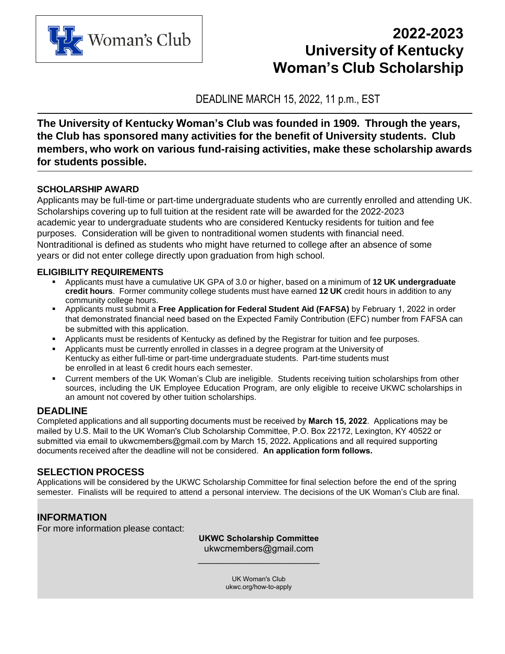

# **2022-2023 University of Kentucky Woman's Club Scholarship**

DEADLINE MARCH 15, 2022, 11 p.m., EST

**The University of Kentucky Woman's Club was founded in 1909. Through the years, the Club has sponsored many activities for the benefit of University students. Club members, who work on various fund-raising activities, make these scholarship awards for students possible.**

## **SCHOLARSHIP AWARD**

Applicants may be full-time or part-time undergraduate students who are currently enrolled and attending UK. Scholarships covering up to full tuition at the resident rate will be awarded for the 2022-2023 academic year to undergraduate students who are considered Kentucky residents for tuition and fee purposes. Consideration will be given to nontraditional women students with financial need. Nontraditional is defined as students who might have returned to college after an absence of some years or did not enter college directly upon graduation from high school.

## **ELIGIBILITY REQUIREMENTS**

- Applicants must have a cumulative UK GPA of 3.0 or higher, based on a minimum of **12 UK undergraduate credit hours**. Former community college students must have earned **12 UK** credit hours in addition to any community college hours.
- Applicants must submit a **Free Application for Federal Student Aid (FAFSA)** by February 1, 2022 in order that demonstrated financial need based on the Expected Family Contribution (EFC) number from FAFSA can be submitted with this application.
- **-** Applicants must be residents of Kentucky as defined by the Registrar for tuition and fee purposes.
- Applicants must be currently enrolled in classes in a degree program at the University of Kentucky as either full-time or part-time undergraduate students. Part-time students must be enrolled in at least 6 credit hours each semester.
- Current members of the UK Woman's Club are ineligible. Students receiving tuition scholarships from other sources, including the UK Employee Education Program, are only eligible to receive UKWC scholarships in an amount not covered by other tuition scholarships.

## **DEADLINE**

Completed applications and all supporting documents must be received by **March 15, 2022**. Applications may be mailed by U.S. Mail to the UK Woman's Club Scholarship Committee, P.O. Box 22172, Lexington, KY 40522 or submitted via email to ukwcmembers@gmail.com by March 15, 2022**.** Applications and all required supporting documents received after the deadline will not be considered. **An application form follows.**

## **SELECTION PROCESS**

Applications will be considered by the UKWC Scholarship Committee for final selection before the end of the spring semester. Finalists will be required to attend a personal interview. The decisions of the UK Woman's Club are final.

## **INFORMATION**

For more information please contact:

**UKWC Scholarship Committee** ukwcmembers@gmail.com

\_\_\_\_\_\_\_\_\_\_\_\_\_\_\_\_\_\_\_\_\_\_\_\_

[UK Woman's Club](http://www.uky.edu/AcademicScholarships/) ukwc.org/how-to-apply